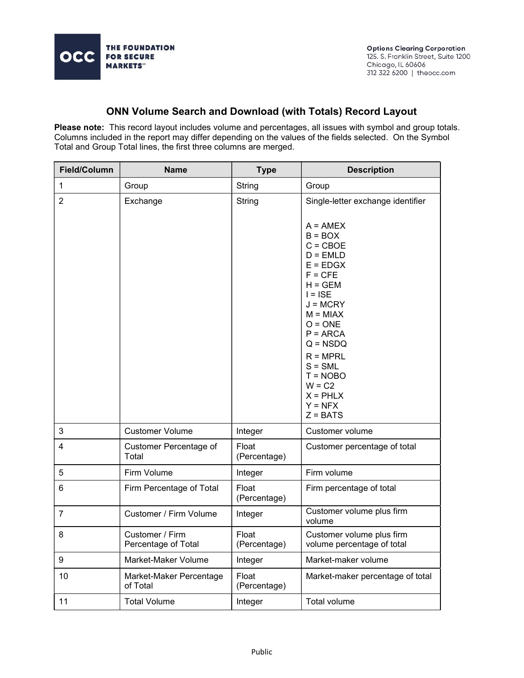

## ONN Volume Search and Download (with Totals) Record Layout

Please note: This record layout includes volume and percentages, all issues with symbol and group totals. Columns included in the report may differ depending on the values of the fields selected. On the Symbol Total and Group Total lines, the first three columns are merged.

| Field/Column   | <b>Name</b>                            | <b>Type</b>           | <b>Description</b>                                                                                                                                                                                                                                                                                               |
|----------------|----------------------------------------|-----------------------|------------------------------------------------------------------------------------------------------------------------------------------------------------------------------------------------------------------------------------------------------------------------------------------------------------------|
| $\mathbf{1}$   | Group                                  | String                | Group                                                                                                                                                                                                                                                                                                            |
| 2              | Exchange                               | String                | Single-letter exchange identifier<br>$A = AMEX$<br>$B = BOX$<br>$C = CBOE$<br>$D = EMLD$<br>$E = EDGX$<br>$F = CFE$<br>$H = GEM$<br>$I = ISE$<br>$J = MCRY$<br>$M = MIAX$<br>$O = ONE$<br>$P = ARCA$<br>$Q = NSDQ$<br>$R = MPRL$<br>$S = SML$<br>$T = NOBO$<br>$W = C2$<br>$X = PHLX$<br>$Y = NFX$<br>$Z = BATS$ |
| 3              | <b>Customer Volume</b>                 | Integer               | Customer volume                                                                                                                                                                                                                                                                                                  |
| 4              | Customer Percentage of<br>Total        | Float<br>(Percentage) | Customer percentage of total                                                                                                                                                                                                                                                                                     |
| $\mathbf 5$    | Firm Volume                            | Integer               | Firm volume                                                                                                                                                                                                                                                                                                      |
| 6              | Firm Percentage of Total               | Float<br>(Percentage) | Firm percentage of total                                                                                                                                                                                                                                                                                         |
| $\overline{7}$ | Customer / Firm Volume                 | Integer               | Customer volume plus firm<br>volume                                                                                                                                                                                                                                                                              |
| 8              | Customer / Firm<br>Percentage of Total | Float<br>(Percentage) | Customer volume plus firm<br>volume percentage of total                                                                                                                                                                                                                                                          |
| 9              | Market-Maker Volume                    | Integer               | Market-maker volume                                                                                                                                                                                                                                                                                              |
| 10             | Market-Maker Percentage<br>of Total    | Float<br>(Percentage) | Market-maker percentage of total                                                                                                                                                                                                                                                                                 |
| 11             | <b>Total Volume</b>                    | Integer               | <b>Total volume</b>                                                                                                                                                                                                                                                                                              |